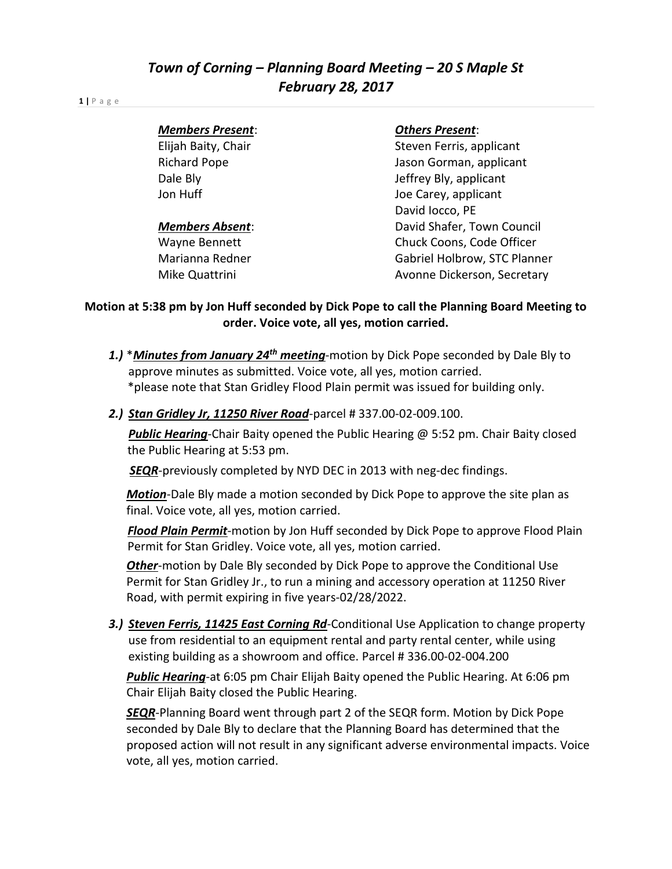### **1 |** P a g e

### *Members Present*: *Others Present*:

Elijah Baity, Chair Steven Ferris, applicant Richard Pope **Accord Pope Accord Pope** Jason Gorman, applicant Dale Bly **Dale Bly** Jeffrey Bly, applicant Jon Huff Joe Carey, applicant David Iocco, PE **Members Absent:** Network Council David Shafer, Town Council Wayne Bennett **Chuck Coons**, Code Officer Marianna Redner Gabriel Holbrow, STC Planner Mike Quattrini **Avonne Dickerson, Secretary** 

## **Motion at 5:38 pm by Jon Huff seconded by Dick Pope to call the Planning Board Meeting to order. Voice vote, all yes, motion carried.**

- *1.)* \**Minutes from January 24th meeting*-motion by Dick Pope seconded by Dale Bly to approve minutes as submitted. Voice vote, all yes, motion carried. \*please note that Stan Gridley Flood Plain permit was issued for building only.
- *2.) Stan Gridley Jr, 11250 River Road*-parcel # 337.00-02-009.100.

*Public Hearing*-Chair Baity opened the Public Hearing @ 5:52 pm. Chair Baity closed the Public Hearing at 5:53 pm.

*SEQR*-previously completed by NYD DEC in 2013 with neg-dec findings.

*Motion*-Dale Bly made a motion seconded by Dick Pope to approve the site plan as final. Voice vote, all yes, motion carried.

 *Flood Plain Permit*-motion by Jon Huff seconded by Dick Pope to approve Flood Plain Permit for Stan Gridley. Voice vote, all yes, motion carried.

*Other*-motion by Dale Bly seconded by Dick Pope to approve the Conditional Use Permit for Stan Gridley Jr., to run a mining and accessory operation at 11250 River Road, with permit expiring in five years-02/28/2022.

*3.) Steven Ferris, 11425 East Corning Rd*-Conditional Use Application to change property use from residential to an equipment rental and party rental center, while using existing building as a showroom and office. Parcel # 336.00-02-004.200

*Public Hearing*-at 6:05 pm Chair Elijah Baity opened the Public Hearing. At 6:06 pm Chair Elijah Baity closed the Public Hearing.

*SEQR*-Planning Board went through part 2 of the SEQR form. Motion by Dick Pope seconded by Dale Bly to declare that the Planning Board has determined that the proposed action will not result in any significant adverse environmental impacts. Voice vote, all yes, motion carried.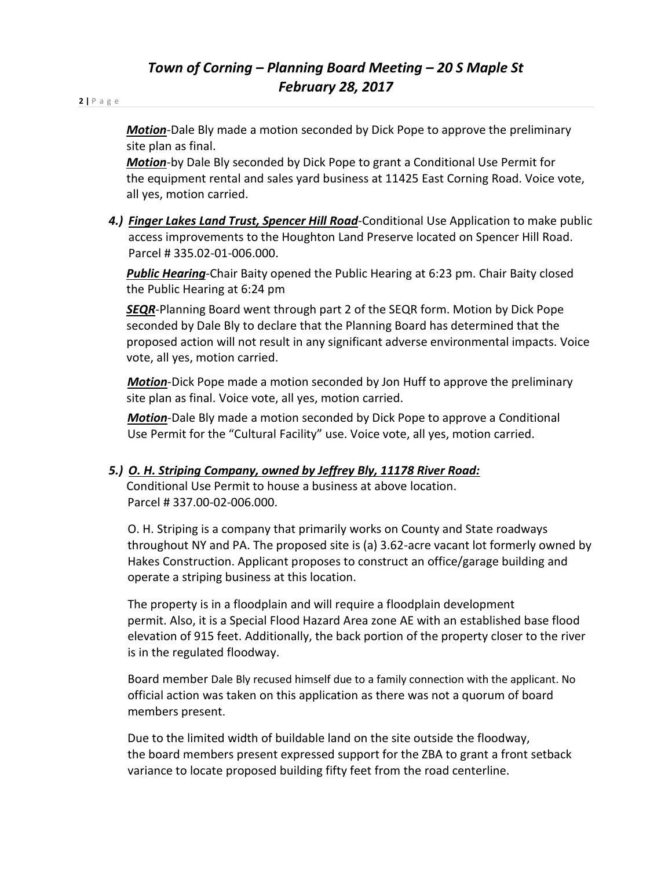**2 |** P a g e

*Motion*-Dale Bly made a motion seconded by Dick Pope to approve the preliminary site plan as final.

*Motion*-by Dale Bly seconded by Dick Pope to grant a Conditional Use Permit for the equipment rental and sales yard business at 11425 East Corning Road. Voice vote, all yes, motion carried.

*4.) Finger Lakes Land Trust, Spencer Hill Road*-Conditional Use Application to make public access improvements to the Houghton Land Preserve located on Spencer Hill Road. Parcel # 335.02-01-006.000.

*Public Hearing*-Chair Baity opened the Public Hearing at 6:23 pm. Chair Baity closed the Public Hearing at 6:24 pm

*SEQR*-Planning Board went through part 2 of the SEQR form. Motion by Dick Pope seconded by Dale Bly to declare that the Planning Board has determined that the proposed action will not result in any significant adverse environmental impacts. Voice vote, all yes, motion carried.

*Motion*-Dick Pope made a motion seconded by Jon Huff to approve the preliminary site plan as final. Voice vote, all yes, motion carried.

*Motion*-Dale Bly made a motion seconded by Dick Pope to approve a Conditional Use Permit for the "Cultural Facility" use. Voice vote, all yes, motion carried.

# *5.) O. H. Striping Company, owned by Jeffrey Bly, 11178 River Road:*

Conditional Use Permit to house a business at above location. Parcel # 337.00-02-006.000.

 O. H. Striping is a company that primarily works on County and State roadways throughout NY and PA. The proposed site is (a) 3.62-acre vacant lot formerly owned by Hakes Construction. Applicant proposes to construct an office/garage building and operate a striping business at this location.

The property is in a floodplain and will require a floodplain development permit. Also, it is a Special Flood Hazard Area zone AE with an established base flood elevation of 915 feet. Additionally, the back portion of the property closer to the river is in the regulated floodway.

 Board member Dale Bly recused himself due to a family connection with the applicant. No official action was taken on this application as there was not a quorum of board members present.

 Due to the limited width of buildable land on the site outside the floodway, the board members present expressed support for the ZBA to grant a front setback variance to locate proposed building fifty feet from the road centerline.